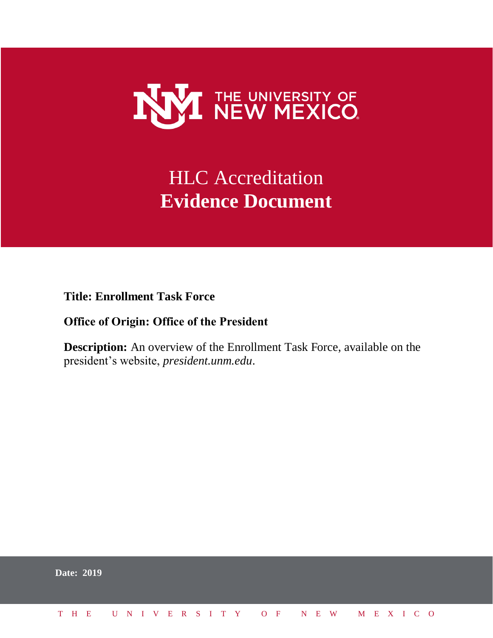

# **HLC** Accreditation **Evidence Document**

**Title: Enrollment Task Force**

## **Office of Origin: Office of the President**

**Description:** An overview of the Enrollment Task Force, available on the president's website, *president.unm.edu*.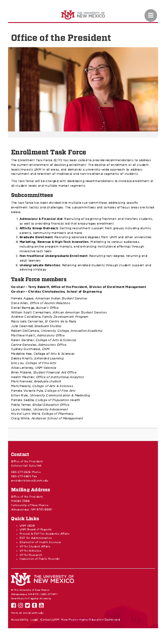

# Ξ

# Office of the [President](http://president.unm.edu/)



# Enrollment Task Force

The Enrollment Task Force (ETF) has been called to provide recommendations to address the current environment of declining enrollment. The decline of enrollment at all student levels impacts UNM in all areas, and demands a university-wide approach to address recruitment and retention of traditional and non-traditional segments of students.

This task force will be charged with developing recommendations to increase enrollment at all student levels and multiple market segments.

# Subcommittees

The task force has been divided into multiple sub-committees addressing specific enrollment tactics and challenges. The subcommittees and samples of focus areas are listed below.

- 1. Admissions & Financial Aid: Recruiting of beginning freshmen and transfers students, as well as providing financial aid that encourages enrollment
- 2. **Affinity Group Outreach**: Getting recruitment support from groups including alumni, parents, community members and more
- 3. Graduate Enrollment: Recruiting advanced degrees from UNM and other universities
- 4. Marketing, Revenue & High-Tech Innovation: Marketing to various audiences, including online program markets, and enhancing institutional offerings through
- innovative tech tools
- 5. Non-traditional Undergraduate Enrollment: Recruiting non-degree, returning and adult learners
- 6. Undergraduate Retention: Retaining enrolled students through student support and advising strategy

# Task Force members

- UNM [2020](http://unm2020.unm.edu/)
- UNM Board of [Regents](http://regents.unm.edu/)
- Provost & EVP for [Academic](http://provost.unm.edu/) Affairs
- **EVP** for [Administration](http://evpadmin.unm.edu/)
- [Chancellor](http://hsc.unm.edu/leadership/index.html) of Health Sciences
- VP for [Student](http://studentaffairs.unm.edu/) Affairs
- VP for [Athletics](http://golobos.com/staff.aspx?staff=1382)
- VP for [Research](http://research.unm.edu/business/)
- [Inspection](http://publicrecords.unm.edu/) of Public Records



### Co-chair – Terry Babbitt, Office of the President, Division of Enrollment Management Co-chair – Christos Christodoulou, School of Engineering

Pamela Agoyo, American Indian Student Services Dana Allen, Office of Alumni Relations Daniel Borrego, Bursar's Office William Scott Carreathers, African American Student Services Andrew Castellano, Family Development Program Rosa Isela Cervantes, El Centro de la Raza Julie Coonrod, Graduate Studies Robert DelCampo, University College, Innovation Academy Matthew Hulett, Admissions Office Karen Gardner, College of Arts & Sciences Corine Gonzales, Admissions Office Sydney Gunthorpe, CNM Madeline Kee, College of Arts & Sciences Debby Knotts, Extended Learning Eric Lau, College of Fine Arts Alice Letteney, UNM Valencia Brian Malone, Student Financial Aid Office Health Mechler, Office of Institutional Analytics Mark Narvaez, Graduate student Mark Peceny, College of Arts & Sciences Pamela Victoria Pyle, College of Fine Arts Ethan Rule, University Communication & Marketing Pamela Sedillo, College of Population Health Pablo Torrez, Global Education Office Laura Valdez, University Advisement Krystal Lynn Ward, College of Pharmacy Craig White, Anderson School of Management

## Contact

Office of the President Scholes Hall Suite 144

505-277-2626 Phone 505-277-5965 Fax [presidentstokes@unm.edu](mailto:presidentstokes@unm.edu)

# Mailing Address

Office of the President MSC05 3300

1 University of New Mexico Albuquerque, NM 87131-0001

## Quick Links

© The University of New Mexico Albuquerque, NM 87131, (505) 277-0111 New Mexico's Flagship University



more at [social.unm.edu](http://social.unm.edu/)

[Accessibility](http://www.unm.edu/accessibility.html) [Legal](http://www.unm.edu/legal.html) [Contact](http://www.unm.edu/contactunm.html) UNM New Mexico Higher Education [Dashboard](http://nmhedss2.state.nm.us/Dashboard/index.aspx?ID=21)